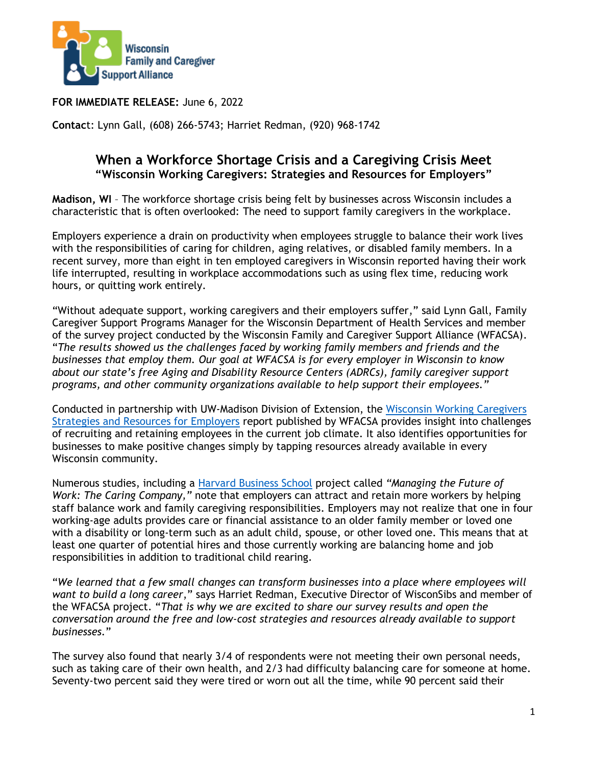

**FOR IMMEDIATE RELEASE:** June 6, 2022

**Contac**t: Lynn Gall, (608) 266-5743; Harriet Redman, (920) 968-1742

## **When a Workforce Shortage Crisis and a Caregiving Crisis Meet "Wisconsin Working Caregivers: Strategies and Resources for Employers"**

**Madison, WI** – The workforce shortage crisis being felt by businesses across Wisconsin includes a characteristic that is often overlooked: The need to support family caregivers in the workplace.

Employers experience a drain on productivity when employees struggle to balance their work lives with the responsibilities of caring for children, aging relatives, or disabled family members. In a recent survey, more than eight in ten employed caregivers in Wisconsin reported having their work life interrupted, resulting in workplace accommodations such as using flex time, reducing work hours, or quitting work entirely.

"Without adequate support, working caregivers and their employers suffer," said Lynn Gall, Family Caregiver Support Programs Manager for the Wisconsin Department of Health Services and member of the survey project conducted by the Wisconsin Family and Caregiver Support Alliance (WFACSA). "*The results showed us the challenges faced by working family members and friends and the businesses that employ them. Our goal at WFACSA is for every employer in Wisconsin to know about our state's free Aging and Disability Resource Centers (ADRCs), family caregiver support programs, and other community organizations available to help support their employees."* 

Conducted in partnership with UW-Madison Division of Extension, the [Wisconsin Working Caregivers](https://wisconsincaregiver.org/_data/media/37/survey-full-report.pdf)  [Strategies and Resources for Employers](https://wisconsincaregiver.org/_data/media/37/survey-full-report.pdf) report published by WFACSA provides insight into challenges of recruiting and retaining employees in the current job climate. It also identifies opportunities for businesses to make positive changes simply by tapping resources already available in every Wisconsin community.

Numerous studies, including a [Harvard Business School](https://www.hbs.edu/managing-the-future-of-work/research/Pages/the-caring-company.aspx) project called *"Managing the Future of Work: The Caring Company,"* note that employers can attract and retain more workers by helping staff balance work and family caregiving responsibilities. Employers may not realize that one in four working-age adults provides care or financial assistance to an older family member or loved one with a disability or long-term such as an adult child, spouse, or other loved one. This means that at least one quarter of potential hires and those currently working are balancing home and job responsibilities in addition to traditional child rearing.

"*We learned that a few small changes can transform businesses into a place where employees will want to build a long career*," says Harriet Redman, Executive Director of WisconSibs and member of the WFACSA project. "*That is why we are excited to share our survey results and open the conversation around the free and low-cost strategies and resources already available to support businesses.*"

The survey also found that nearly 3/4 of respondents were not meeting their own personal needs, such as taking care of their own health, and 2/3 had difficulty balancing care for someone at home. Seventy-two percent said they were tired or worn out all the time, while 90 percent said their